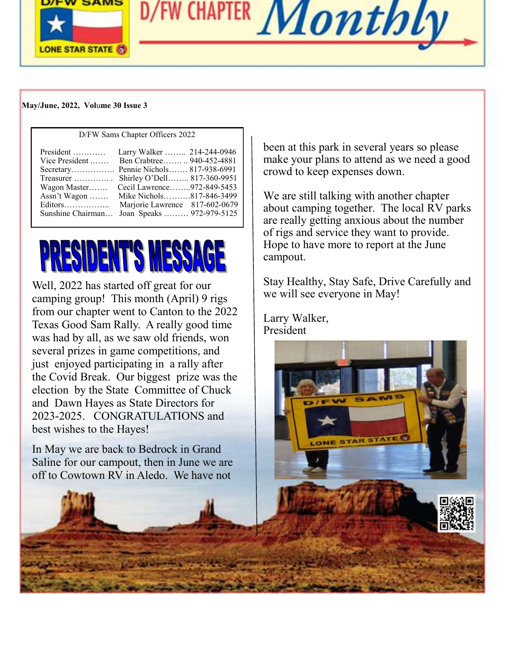

D/FW CHAPTER Monthly

#### **May/June, 2022, Vol**u**me 30 Issue 3**

| $P_{\text{H}}$ $\sim$ ballie enapter of the step 2022 |                                |  |  |
|-------------------------------------------------------|--------------------------------|--|--|
| $President$                                           | Larry Walker  214-244-0946     |  |  |
| Vice President                                        | Ben Crabtree 940-452-4881      |  |  |
| Secretary Pennie Nichols 817-938-6991                 |                                |  |  |
| Treasurer                                             | Shirley O'Dell 817-360-9951    |  |  |
| Wagon Master                                          | Cecil Lawrence972-849-5453     |  |  |
| Assn't Wagon                                          | Mike Nichols817-846-3499       |  |  |
| Editors                                               | Marjorie Lawrence 817-602-0679 |  |  |
| Sunshine Chairman                                     | Joan Speaks  972-979-5125      |  |  |
|                                                       |                                |  |  |

D/FW Sams Chapter Officers 2022

# PRESIDENT'S MESSAGE

Well, 2022 has started off great for our camping group! This month (April) 9 rigs from our chapter went to Canton to the 2022 Texas Good Sam Rally. A really good time was had by all, as we saw old friends, won several prizes in game competitions, and just enjoyed participating in a rally after the Covid Break. Our biggest prize was the election by the State Committee of Chuck and Dawn Hayes as State Directors for 2023-2025. CONGRATULATIONS and best wishes to the Hayes!

In May we are back to Bedrock in Grand Saline for our campout, then in June we are off to Cowtown RV in Aledo. We have not

been at this park in several years so please make your plans to attend as we need a good crowd to keep expenses down.

We are still talking with another chapter about camping together. The local RV parks are really getting anxious about the number of rigs and service they want to provide. Hope to have more to report at the June campout.

Stay Healthy, Stay Safe, Drive Carefully and we will see everyone in May!

**E STAR** 

Larry Walker, President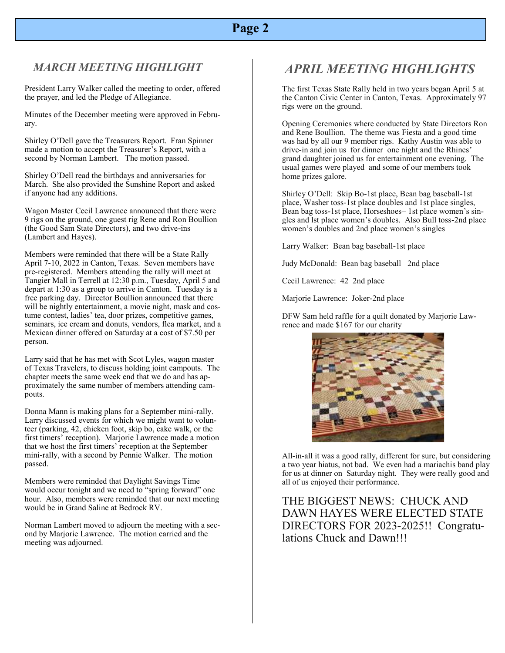## **Page 2**

#### *MARCH MEETING HIGHLIGHT*

President Larry Walker called the meeting to order, offered the prayer, and led the Pledge of Allegiance.

Minutes of the December meeting were approved in February.

Shirley O'Dell gave the Treasurers Report. Fran Spinner made a motion to accept the Treasurer's Report, with a second by Norman Lambert. The motion passed.

Shirley O'Dell read the birthdays and anniversaries for March. She also provided the Sunshine Report and asked if anyone had any additions.

Wagon Master Cecil Lawrence announced that there were 9 rigs on the ground, one guest rig Rene and Ron Boullion (the Good Sam State Directors), and two drive-ins (Lambert and Hayes).

Members were reminded that there will be a State Rally April 7-10, 2022 in Canton, Texas. Seven members have pre-registered. Members attending the rally will meet at Tangier Mall in Terrell at 12:30 p.m., Tuesday, April 5 and depart at 1:30 as a group to arrive in Canton. Tuesday is a free parking day. Director Boullion announced that there will be nightly entertainment, a movie night, mask and costume contest, ladies' tea, door prizes, competitive games, seminars, ice cream and donuts, vendors, flea market, and a Mexican dinner offered on Saturday at a cost of \$7.50 per person.

Larry said that he has met with Scot Lyles, wagon master of Texas Travelers, to discuss holding joint campouts. The chapter meets the same week end that we do and has approximately the same number of members attending campouts.

Donna Mann is making plans for a September mini-rally. Larry discussed events for which we might want to volunteer (parking, 42, chicken foot, skip bo, cake walk, or the first timers' reception). Marjorie Lawrence made a motion that we host the first timers' reception at the September mini-rally, with a second by Pennie Walker. The motion passed.

Members were reminded that Daylight Savings Time would occur tonight and we need to "spring forward" one hour. Also, members were reminded that our next meeting would be in Grand Saline at Bedrock RV.

Norman Lambert moved to adjourn the meeting with a second by Marjorie Lawrence. The motion carried and the meeting was adjourned.

# *APRIL MEETING HIGHLIGHTS*

The first Texas State Rally held in two years began April 5 at the Canton Civic Center in Canton, Texas. Approximately 97 rigs were on the ground.

Opening Ceremonies where conducted by State Directors Ron and Rene Boullion. The theme was Fiesta and a good time was had by all our 9 member rigs. Kathy Austin was able to drive-in and join us for dinner one night and the Rhines' grand daughter joined us for entertainment one evening. The usual games were played and some of our members took home prizes galore.

Shirley O'Dell: Skip Bo-1st place, Bean bag baseball-1st place, Washer toss-1st place doubles and 1st place singles, Bean bag toss-1st place, Horseshoes– 1st place women's singles and lst place women's doubles. Also Bull toss-2nd place women's doubles and 2nd place women's singles

Larry Walker: Bean bag baseball-1st place

Judy McDonald: Bean bag baseball– 2nd place

Cecil Lawrence: 42 2nd place

Marjorie Lawrence: Joker-2nd place

DFW Sam held raffle for a quilt donated by Marjorie Lawrence and made \$167 for our charity



All-in-all it was a good rally, different for sure, but considering a two year hiatus, not bad. We even had a mariachis band play for us at dinner on Saturday night. They were really good and all of us enjoyed their performance.

THE BIGGEST NEWS: CHUCK AND DAWN HAYES WERE ELECTED STATE DIRECTORS FOR 2023-2025!! Congratulations Chuck and Dawn!!!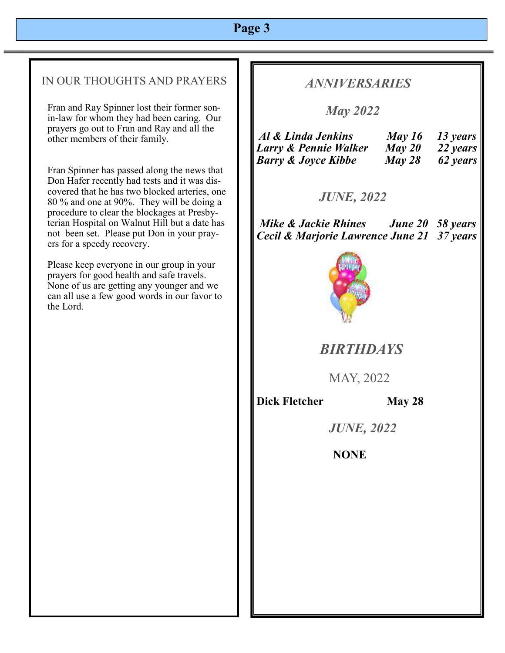## **Page 3**

#### IN OUR THOUGHTS AND PRAYERS

Fran and Ray Spinner lost their former sonin-law for whom they had been caring. Our prayers go out to Fran and Ray and all the other members of their family.

Fran Spinner has passed along the news that Don Hafer recently had tests and it was discovered that he has two blocked arteries, one 80 % and one at 90%. They will be doing a procedure to clear the blockages at Presbyterian Hospital on Walnut Hill but a date has not been set. Please put Don in your prayers for a speedy recovery.

Please keep everyone in our group in your prayers for good health and safe travels. None of us are getting any younger and we can all use a few good words in our favor to the Lord.

## *ANNIVERSARIES*

 *May 2022*

| Al & Linda Jenkins             | May 16 | 13 years |
|--------------------------------|--------|----------|
| Larry & Pennie Walker          | May 20 | 22 years |
| <b>Barry &amp; Joyce Kibbe</b> | May 28 | 62 years |

## *JUNE, 2022*

*Mike & Jackie Rhines June 20 58 years Cecil & Marjorie Lawrence June 21 37 years*



# *BIRTHDAYS*

MAY, 2022

**Dick Fletcher** May 28

 *JUNE, 2022*

**NONE**